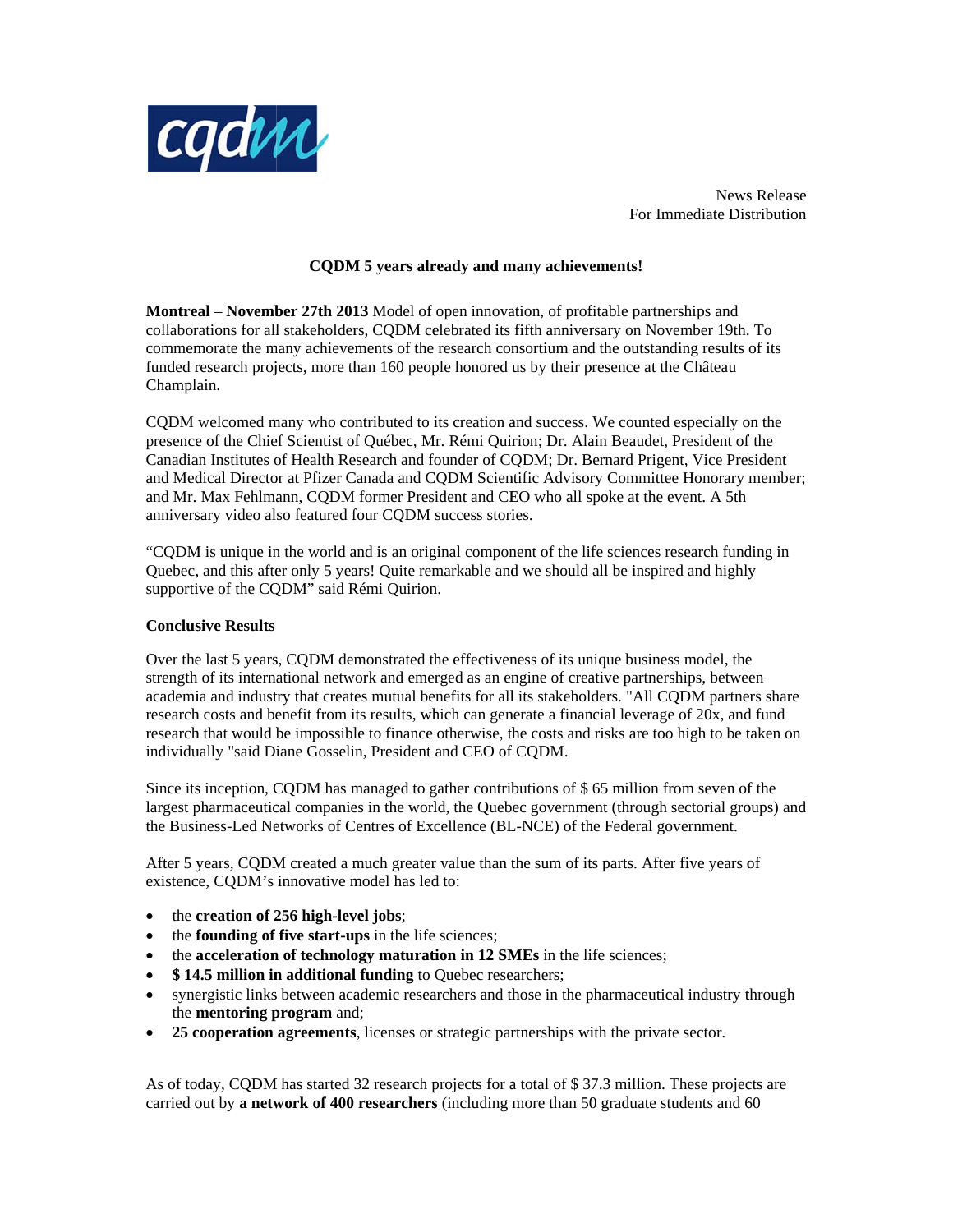

**News Release** For Immediate Distribution

## CQDM 5 years already and many achievements!

**Montreal** – November 27th 2013 Model of open innovation, of profitable partnerships and collaborations for all stakeholders, CQDM celebrated its fifth anniversary on November 19th. To commemorate the many achievements of the research consortium and the outstanding results of its funded research projects, more than 160 people honored us by their presence at the Château Champlain.

CODM welcomed many who contributed to its creation and success. We counted especially on the presence of the Chief Scientist of Québec, Mr. Rémi Quirion; Dr. Alain Beaudet, President of the Canadian Institutes of Health Research and founder of CODM; Dr. Bernard Prigent, Vice President and Medical Director at Pfizer Canada and CQDM Scientific Advisory Committee Honorary member; and Mr. Max Fehlmann, CQDM former President and CEO who all spoke at the event. A 5th anniversary video also featured four CQDM success stories.

"CODM is unique in the world and is an original component of the life sciences research funding in Quebec, and this after only 5 years! Quite remarkable and we should all be inspired and highly supportive of the CQDM" said Rémi Quirion.

## **Conclusive Results**

Over the last 5 years, CQDM demonstrated the effectiveness of its unique business model, the strength of its international network and emerged as an engine of creative partnerships, between academia and industry that creates mutual benefits for all its stakeholders. "All CODM partners share research costs and benefit from its results, which can generate a financial leverage of 20x, and fund research that would be impossible to finance otherwise, the costs and risks are too high to be taken on individually "said Diane Gosselin, President and CEO of CQDM.

Since its inception, CQDM has managed to gather contributions of \$65 million from seven of the largest pharmaceutical companies in the world, the Quebec government (through sectorial groups) and the Business-Led Networks of Centres of Excellence (BL-NCE) of the Federal government.

After 5 years, CQDM created a much greater value than the sum of its parts. After five years of existence, CQDM's innovative model has led to:

- the creation of 256 high-level jobs;
- the founding of five start-ups in the life sciences;
- the acceleration of technology maturation in 12 SMEs in the life sciences;
- \$14.5 million in additional funding to Quebec researchers;  $\bullet$
- synergistic links between academic researchers and those in the pharmaceutical industry through  $\bullet$ the **mentoring** program and;
- 25 cooperation agreements, licenses or strategic partnerships with the private sector.  $\bullet$

As of today, CQDM has started 32 research projects for a total of \$37.3 million. These projects are carried out by a network of 400 researchers (including more than 50 graduate students and 60